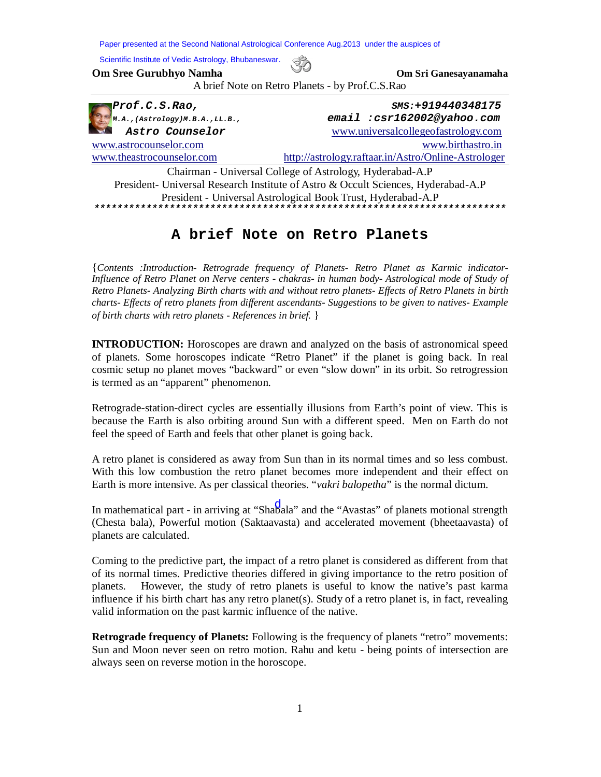**Om Sree Gurubhyo Namha Om Sri Ganesayanamaha** A brief Note on Retro Planets - by Prof.C.S.Rao *Prof.C.S.Rao, SMS:+919440348175 M.A.,(Astrology)M.B.A.,LL.B., email :csr162002@yahoo.com Astro Counselor* www.universalcollegeofastrology.com www.astrocounselor.com www.birthastro.in www.theastrocounselor.com http://astrology.raftaar.in/Astro/Online-Astrologer Chairman - Universal College of Astrology, Hyderabad-A.P President- Universal Research Institute of Astro & Occult Sciences, Hyderabad-A.P President - Universal Astrological Book Trust, Hyderabad-A.P *\*\*\*\*\*\*\*\*\*\*\*\*\*\*\*\*\*\*\*\*\*\*\*\*\*\*\*\*\*\*\*\*\*\*\*\*\*\*\*\*\*\*\*\*\*\*\*\*\*\*\*\*\*\*\*\*\*\*\*\*\*\*\*\*\*\*\*\*\*\*\**  Paper presented at the Second National Astrological Conference Aug.2013 under the auspices of Scientific Institute of Vedic Astrology, Bhubaneswar.

## **A brief Note on Retro Planets**

{*Contents :Introduction- Retrograde frequency of Planets- Retro Planet as Karmic indicator-Influence of Retro Planet on Nerve centers - chakras- in human body- Astrological mode of Study of Retro Planets- Analyzing Birth charts with and without retro planets- Effects of Retro Planets in birth charts- Effects of retro planets from different ascendants- Suggestions to be given to natives- Example of birth charts with retro planets - References in brief.* }

**INTRODUCTION:** Horoscopes are drawn and analyzed on the basis of astronomical speed of planets. Some horoscopes indicate "Retro Planet" if the planet is going back. In real cosmic setup no planet moves "backward" or even "slow down" in its orbit. So retrogression is termed as an "apparent" phenomenon.

Retrograde-station-direct cycles are essentially illusions from Earth's point of view. This is because the Earth is also orbiting around Sun with a different speed. Men on Earth do not feel the speed of Earth and feels that other planet is going back.

A retro planet is considered as away from Sun than in its normal times and so less combust. With this low combustion the retro planet becomes more independent and their effect on Earth is more intensive. As per classical theories. "*vakri balopetha*" is the normal dictum.

In mathematical part - in arriving at "Shabala" and the "Avastas" of planets motional strength (Chesta bala), Powerful motion (Saktaavasta) and accelerated movement (bheetaavasta) of planets are calculated.

Coming to the predictive part, the impact of a retro planet is considered as different from that of its normal times. Predictive theories differed in giving importance to the retro position of planets. However, the study of retro planets is useful to know the native's past karma influence if his birth chart has any retro planet(s). Study of a retro planet is, in fact, revealing valid information on the past karmic influence of the native.

**Retrograde frequency of Planets:** Following is the frequency of planets "retro" movements: Sun and Moon never seen on retro motion. Rahu and ketu - being points of intersection are always seen on reverse motion in the horoscope.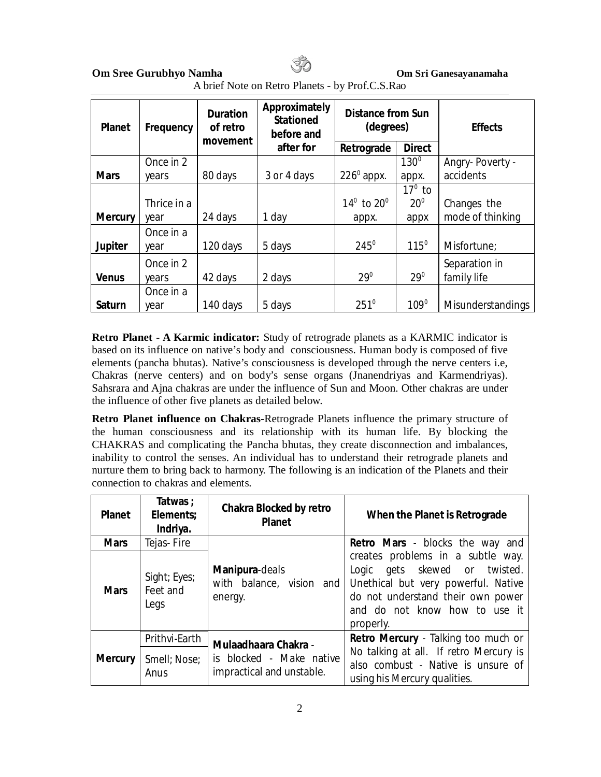| A brief Note on Retro Planets - by Prof.C.S.Rao |
|-------------------------------------------------|
|-------------------------------------------------|

| <b>Planet</b>  | Frequency          | <b>Duration</b><br>of retro<br>movement | Approximately<br><b>Stationed</b><br>before and | <b>Distance from Sun</b><br>(degrees) |                 | <b>Effects</b>               |
|----------------|--------------------|-----------------------------------------|-------------------------------------------------|---------------------------------------|-----------------|------------------------------|
|                |                    |                                         | after for                                       | Retrograde                            | <b>Direct</b>   |                              |
|                | Once in 2          |                                         |                                                 |                                       | $130^\circ$     | Angry-Poverty -              |
| <b>Mars</b>    | years              | 80 days                                 | 3 or 4 days                                     | $226^{\circ}$ appx.                   | appx.           | accidents                    |
|                |                    |                                         |                                                 |                                       | $17^{\circ}$ to |                              |
|                | Thrice in a        |                                         |                                                 | $14^{\circ}$ to $20^{\circ}$          | $20^{\circ}$    | Changes the                  |
| <b>Mercury</b> | year               | 24 days                                 | 1 day                                           | appx.                                 | appx            | mode of thinking             |
| <b>Jupiter</b> | Once in a<br>year  | 120 days                                | 5 days                                          | $245^\circ$                           | $115^\circ$     | Misfortune;                  |
| <b>Venus</b>   | Once in 2<br>years | 42 days                                 | 2 days                                          | $29^\circ$                            | $29^0$          | Separation in<br>family life |
| <b>Saturn</b>  | Once in a<br>year  | 140 days                                | 5 days                                          | $251^{\circ}$                         | $109^{\circ}$   | <b>Misunderstandings</b>     |

**Retro Planet - A Karmic indicator:** Study of retrograde planets as a KARMIC indicator is based on its influence on native's body and consciousness. Human body is composed of five elements (pancha bhutas). Native's consciousness is developed through the nerve centers i.e, Chakras (nerve centers) and on body's sense organs (Jnanendriyas and Karmendriyas). Sahsrara and Ajna chakras are under the influence of Sun and Moon. Other chakras are under the influence of other five planets as detailed below.

**Retro Planet influence on Chakras-**Retrograde Planets influence the primary structure of the human consciousness and its relationship with its human life. By blocking the CHAKRAS and complicating the Pancha bhutas, they create disconnection and imbalances, inability to control the senses. An individual has to understand their retrograde planets and nurture them to bring back to harmony. The following is an indication of the Planets and their connection to chakras and elements.

| <b>Planet</b>  | Tatwas ;<br>Elements:<br>Indriya. | <b>Chakra Blocked by retro</b><br><b>Planet</b>       | When the Planet is Retrograde                                                                                                                                                                   |  |  |
|----------------|-----------------------------------|-------------------------------------------------------|-------------------------------------------------------------------------------------------------------------------------------------------------------------------------------------------------|--|--|
| <b>Mars</b>    | Tejas-Fire                        |                                                       | <b>Retro Mars</b> - blocks the way and                                                                                                                                                          |  |  |
| <b>Mars</b>    | Sight; Eyes;<br>Feet and<br>Legs  | Manipura-deals<br>with balance, vision and<br>energy. | creates problems in a subtle way.<br>gets skewed or twisted.<br>Logic<br>Unethical but very powerful. Native<br>do not understand their own power<br>and do not know how to use it<br>properly. |  |  |
| <b>Mercury</b> | Prithvi-Earth                     | <b>Mulaadhaara Chakra -</b>                           | Retro Mercury - Talking too much or                                                                                                                                                             |  |  |
|                | Smell; Nose;<br>Anus              | is blocked - Make native<br>impractical and unstable. | No talking at all. If retro Mercury is<br>also combust - Native is unsure of<br>using his Mercury qualities.                                                                                    |  |  |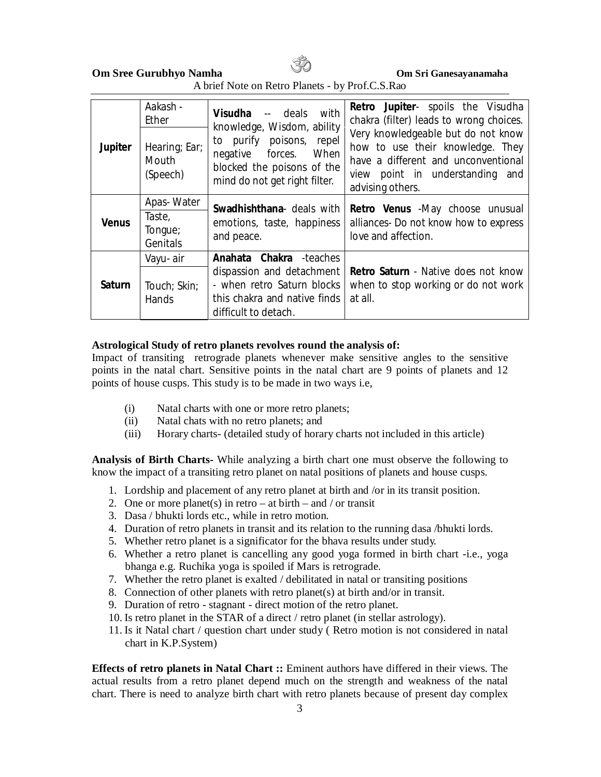A brief Note on Retro Planets - by Prof.C.S.Rao

| <b>Jupiter</b> | Aakash -<br>Ether<br>Hearing; Ear;<br>Mouth<br>(Speech) | Visudha -- deals with<br>knowledge, Wisdom, ability<br>to purify poisons, repel<br>When<br>negative forces.<br>blocked the poisons of the<br>mind do not get right filter. | <b>Retro Jupiter-</b> spoils the Visudha<br>chakra (filter) leads to wrong choices.<br>Very knowledgeable but do not know<br>how to use their knowledge. They<br>have a different and unconventional<br>view point in understanding and<br>advising others. |
|----------------|---------------------------------------------------------|----------------------------------------------------------------------------------------------------------------------------------------------------------------------------|-------------------------------------------------------------------------------------------------------------------------------------------------------------------------------------------------------------------------------------------------------------|
| <b>Venus</b>   | Apas-Water<br>Taste,<br>Tongue;<br>Genitals             | Swadhishthana- deals with<br>emotions, taste, happiness<br>and peace.                                                                                                      | Retro Venus -May choose unusual<br>alliances- Do not know how to express<br>love and affection.                                                                                                                                                             |
| Saturn         | Vayu-air<br>Touch; Skin;<br><b>Hands</b>                | <b>Anahata Chakra</b> -teaches<br>dispassion and detachment<br>- when retro Saturn blocks<br>this chakra and native finds<br>difficult to detach.                          | <b>Retro Saturn</b> - Native does not know<br>when to stop working or do not work<br>at all.                                                                                                                                                                |

### **Astrological Study of retro planets revolves round the analysis of:**

Impact of transiting retrograde planets whenever make sensitive angles to the sensitive points in the natal chart. Sensitive points in the natal chart are 9 points of planets and 12 points of house cusps. This study is to be made in two ways i.e,

- (i) Natal charts with one or more retro planets;
- (ii) Natal chats with no retro planets; and
- (iii) Horary charts- (detailed study of horary charts not included in this article)

**Analysis of Birth Charts-** While analyzing a birth chart one must observe the following to know the impact of a transiting retro planet on natal positions of planets and house cusps.

- 1. Lordship and placement of any retro planet at birth and /or in its transit position.
- 2. One or more planet(s) in retro at birth and / or transit
- 3. Dasa / bhukti lords etc., while in retro motion.
- 4. Duration of retro planets in transit and its relation to the running dasa /bhukti lords.
- 5. Whether retro planet is a significator for the bhava results under study.
- 6. Whether a retro planet is cancelling any good yoga formed in birth chart -i.e., yoga bhanga e.g. Ruchika yoga is spoiled if Mars is retrograde.
- 7. Whether the retro planet is exalted / debilitated in natal or transiting positions
- 8. Connection of other planets with retro planet(s) at birth and/or in transit.
- 9. Duration of retro stagnant direct motion of the retro planet.
- 10. Is retro planet in the STAR of a direct / retro planet (in stellar astrology).
- 11. Is it Natal chart / question chart under study ( Retro motion is not considered in natal chart in K.P.System)

**Effects of retro planets in Natal Chart ::** Eminent authors have differed in their views. The actual results from a retro planet depend much on the strength and weakness of the natal chart. There is need to analyze birth chart with retro planets because of present day complex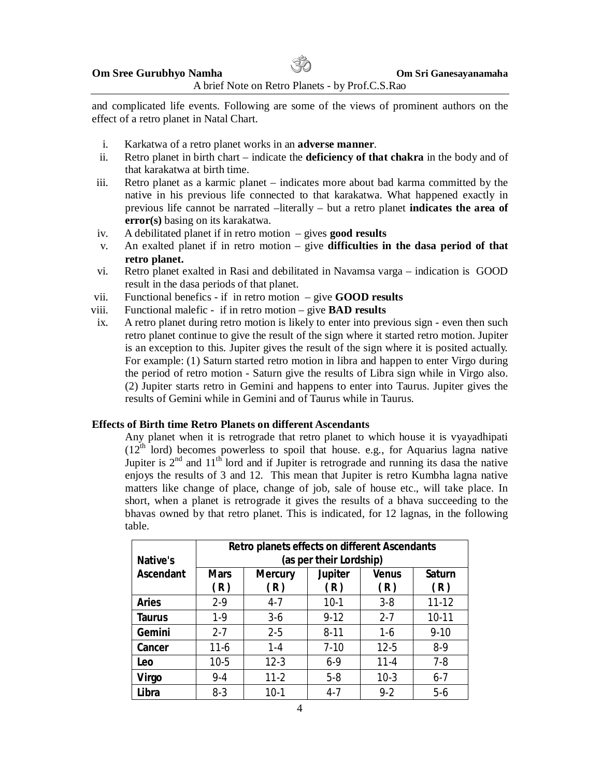and complicated life events. Following are some of the views of prominent authors on the effect of a retro planet in Natal Chart.

- i. Karkatwa of a retro planet works in an **adverse manner**.
- ii. Retro planet in birth chart indicate the **deficiency of that chakra** in the body and of that karakatwa at birth time.
- iii. Retro planet as a karmic planet indicates more about bad karma committed by the native in his previous life connected to that karakatwa. What happened exactly in previous life cannot be narrated –literally – but a retro planet **indicates the area of error(s)** basing on its karakatwa.
- iv. A debilitated planet if in retro motion gives **good results**
- v. An exalted planet if in retro motion give **difficulties in the dasa period of that retro planet.**
- vi. Retro planet exalted in Rasi and debilitated in Navamsa varga indication is GOOD result in the dasa periods of that planet.
- vii. Functional benefics if in retro motion give **GOOD results**
- viii. Functional malefic if in retro motion give **BAD results**
- ix. A retro planet during retro motion is likely to enter into previous sign even then such retro planet continue to give the result of the sign where it started retro motion. Jupiter is an exception to this. Jupiter gives the result of the sign where it is posited actually. For example: (1) Saturn started retro motion in libra and happen to enter Virgo during the period of retro motion - Saturn give the results of Libra sign while in Virgo also. (2) Jupiter starts retro in Gemini and happens to enter into Taurus. Jupiter gives the results of Gemini while in Gemini and of Taurus while in Taurus.

#### **Effects of Birth time Retro Planets on different Ascendants**

Any planet when it is retrograde that retro planet to which house it is vyayadhipati  $(12<sup>th</sup>$  lord) becomes powerless to spoil that house. e.g., for Aquarius lagna native Jupiter is  $2<sup>nd</sup>$  and  $11<sup>th</sup>$  lord and if Jupiter is retrograde and running its dasa the native enjoys the results of 3 and 12. This mean that Jupiter is retro Kumbha lagna native matters like change of place, change of job, sale of house etc., will take place. In short, when a planet is retrograde it gives the results of a bhava succeeding to the bhavas owned by that retro planet. This is indicated, for 12 lagnas, in the following table.

| <b>Native's</b>  | Retro planets effects on different Ascendants<br>(as per their Lordship) |                       |                       |                     |                      |  |
|------------------|--------------------------------------------------------------------------|-----------------------|-----------------------|---------------------|----------------------|--|
| <b>Ascendant</b> | <b>Mars</b><br>(R)                                                       | <b>Mercury</b><br>(R) | <b>Jupiter</b><br>(R) | <b>Venus</b><br>(R) | <b>Saturn</b><br>(R) |  |
| <b>Aries</b>     | $2-9$                                                                    | $4 - 7$               | $10-1$                | $3 - 8$             | $11 - 12$            |  |
| Taurus           | $1-9$                                                                    | $3-6$                 | $9-12$                | $2 - 7$             | $10-11$              |  |
| Gemini           | $2 - 7$                                                                  | $2 - 5$               | $8 - 11$              | $1-6$               | $9 - 10$             |  |
| Cancer           | $11-6$                                                                   | $1 - 4$               | $7-10$                | $12 - 5$            | $8-9$                |  |
| Leo              | $10-5$                                                                   | $12 - 3$              | $6-9$                 | $11 - 4$            | $7 - 8$              |  |
| Virgo            | 9-4                                                                      | $11 - 2$              | $5-8$                 | $10-3$              | $6 - 7$              |  |
| Libra            | 8-3                                                                      | $10-1$                | 4-7                   | $9-2$               | $5-6$                |  |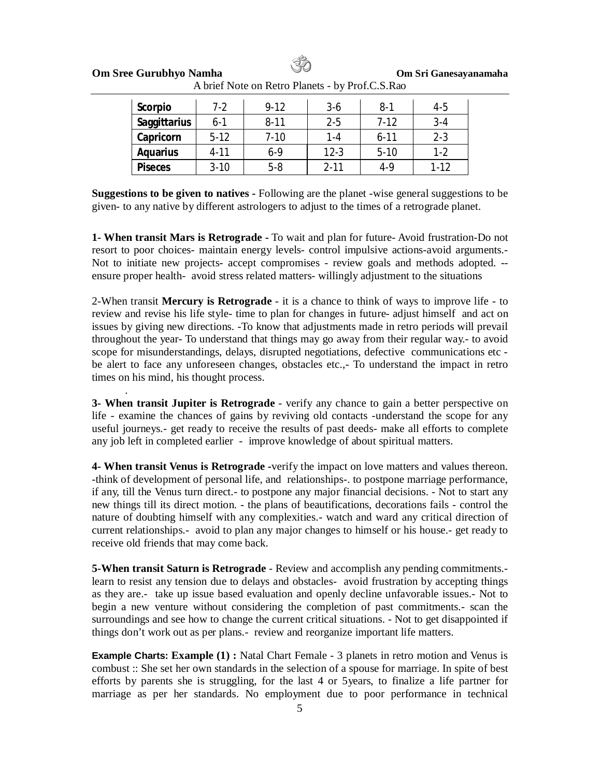| <b>Scorpio</b>      | $7-2$    | $9 - 12$ | $3-6$    | $8-1$    | 4-5      |
|---------------------|----------|----------|----------|----------|----------|
| <b>Saggittarius</b> | $6 - 1$  | $8 - 11$ | $2 - 5$  | $7-12$   | $3 - 4$  |
| Capricorn           | $5-12$   | $7 - 10$ | 1-4      | $6 - 11$ | $2 - 3$  |
| <b>Aquarius</b>     | $4 - 11$ | 6-9      | $12-3$   | $5-10$   | 1-2      |
| <b>Piseces</b>      | $3 - 10$ | $5-8$    | $2 - 11$ | $4-9$    | $1 - 12$ |

A brief Note on Retro Planets - by Prof.C.S.Rao

**Suggestions to be given to natives -** Following are the planet -wise general suggestions to be given- to any native by different astrologers to adjust to the times of a retrograde planet.

**1- When transit Mars is Retrograde -** To wait and plan for future- Avoid frustration-Do not resort to poor choices- maintain energy levels- control impulsive actions-avoid arguments.- Not to initiate new projects- accept compromises - review goals and methods adopted. - ensure proper health- avoid stress related matters- willingly adjustment to the situations

2-When transit **Mercury is Retrograde** - it is a chance to think of ways to improve life - to review and revise his life style- time to plan for changes in future- adjust himself and act on issues by giving new directions. -To know that adjustments made in retro periods will prevail throughout the year- To understand that things may go away from their regular way.- to avoid scope for misunderstandings, delays, disrupted negotiations, defective communications etc be alert to face any unforeseen changes, obstacles etc.,- To understand the impact in retro times on his mind, his thought process.

**3- When transit Jupiter is Retrograde** - verify any chance to gain a better perspective on life - examine the chances of gains by reviving old contacts -understand the scope for any useful journeys.- get ready to receive the results of past deeds- make all efforts to complete any job left in completed earlier - improve knowledge of about spiritual matters.

.

**4- When transit Venus is Retrograde -**verify the impact on love matters and values thereon. -think of development of personal life, and relationships-. to postpone marriage performance, if any, till the Venus turn direct.- to postpone any major financial decisions. - Not to start any new things till its direct motion. - the plans of beautifications, decorations fails - control the nature of doubting himself with any complexities.- watch and ward any critical direction of current relationships.- avoid to plan any major changes to himself or his house.- get ready to receive old friends that may come back.

**5-When transit Saturn is Retrograde** - Review and accomplish any pending commitments. learn to resist any tension due to delays and obstacles- avoid frustration by accepting things as they are.- take up issue based evaluation and openly decline unfavorable issues.- Not to begin a new venture without considering the completion of past commitments.- scan the surroundings and see how to change the current critical situations. - Not to get disappointed if things don't work out as per plans.- review and reorganize important life matters.

**Example Charts: Example (1) :** Natal Chart Female - 3 planets in retro motion and Venus is combust :: She set her own standards in the selection of a spouse for marriage. In spite of best efforts by parents she is struggling, for the last 4 or 5years, to finalize a life partner for marriage as per her standards. No employment due to poor performance in technical